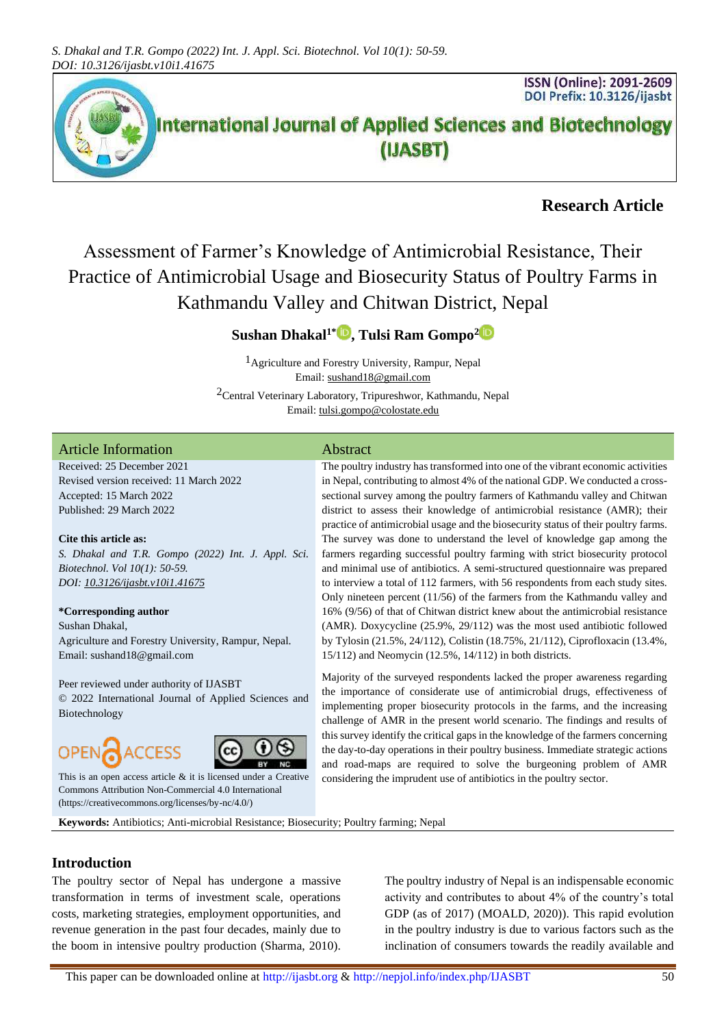

# **Research Article**

Assessment of Farmer's Knowledge of Antimicrobial Resistance, Their Practice of Antimicrobial Usage and Biosecurity Status of Poultry Farms in Kathmandu Valley and Chitwan District, Nepal

# **Sushan Dhakal1\* , Tulsi Ram Gompo[2](https://orcid.org/0000-0002-0973-0187)**

1Agriculture and Forestry University, Rampur, Nepal Email[: sushand18@gmail.com](mailto:sushand18@gmail.com) 2Central Veterinary Laboratory, Tripureshwor, Kathmandu, Nepal

Email[: tulsi.gompo@colostate.edu](mailto:tulsi.gompo@colostate.edu)

### Article Information Abstract

Received: 25 December 2021 Revised version received: 11 March 2022 Accepted: 15 March 2022 Published: 29 March 2022

#### **Cite this article as:**

*S. Dhakal and T.R. Gompo (2022) Int. J. Appl. Sci. Biotechnol. Vol 10(1): 50-59. DOI: [10.3126/ijasbt.v10i1.41675](https://doi.org/10.3126/ijasbt.v10i1.41675)*

#### **\*Corresponding author**

Sushan Dhakal, Agriculture and Forestry University, Rampur, Nepal. Email: sushand18@gmail.com

#### Peer reviewed under authority of IJASBT

© 2022 International Journal of Applied Sciences and Biotechnology





This is an open access article & it is licensed under a [Creative](https://creativecommons.org/licenses/by-nc/4.0/)  [Commons Attribution Non-Commercial 4.0 International](https://creativecommons.org/licenses/by-nc/4.0/) [\(https://creativecommons.org/licenses/by-nc/4.0/\)](https://creativecommons.org/licenses/by-nc/4.0/)

The poultry industry has transformed into one of the vibrant economic activities in Nepal, contributing to almost 4% of the national GDP. We conducted a crosssectional survey among the poultry farmers of Kathmandu valley and Chitwan district to assess their knowledge of antimicrobial resistance (AMR); their practice of antimicrobial usage and the biosecurity status of their poultry farms. The survey was done to understand the level of knowledge gap among the farmers regarding successful poultry farming with strict biosecurity protocol and minimal use of antibiotics. A semi-structured questionnaire was prepared to interview a total of 112 farmers, with 56 respondents from each study sites. Only nineteen percent (11/56) of the farmers from the Kathmandu valley and 16% (9/56) of that of Chitwan district knew about the antimicrobial resistance (AMR). Doxycycline (25.9%, 29/112) was the most used antibiotic followed by Tylosin (21.5%, 24/112), Colistin (18.75%, 21/112), Ciprofloxacin (13.4%, 15/112) and Neomycin (12.5%, 14/112) in both districts.

Majority of the surveyed respondents lacked the proper awareness regarding the importance of considerate use of antimicrobial drugs, effectiveness of implementing proper biosecurity protocols in the farms, and the increasing challenge of AMR in the present world scenario. The findings and results of this survey identify the critical gaps in the knowledge of the farmers concerning the day-to-day operations in their poultry business. Immediate strategic actions and road-maps are required to solve the burgeoning problem of AMR considering the imprudent use of antibiotics in the poultry sector.

**Keywords:** Antibiotics; Anti-microbial Resistance; Biosecurity; Poultry farming; Nepal

# **Introduction**

The poultry sector of Nepal has undergone a massive transformation in terms of investment scale, operations costs, marketing strategies, employment opportunities, and revenue generation in the past four decades, mainly due to the boom in intensive poultry production (Sharma, 2010).

The poultry industry of Nepal is an indispensable economic activity and contributes to about 4% of the country's total GDP (as of 2017) (MOALD, 2020)). This rapid evolution in the poultry industry is due to various factors such as the inclination of consumers towards the readily available and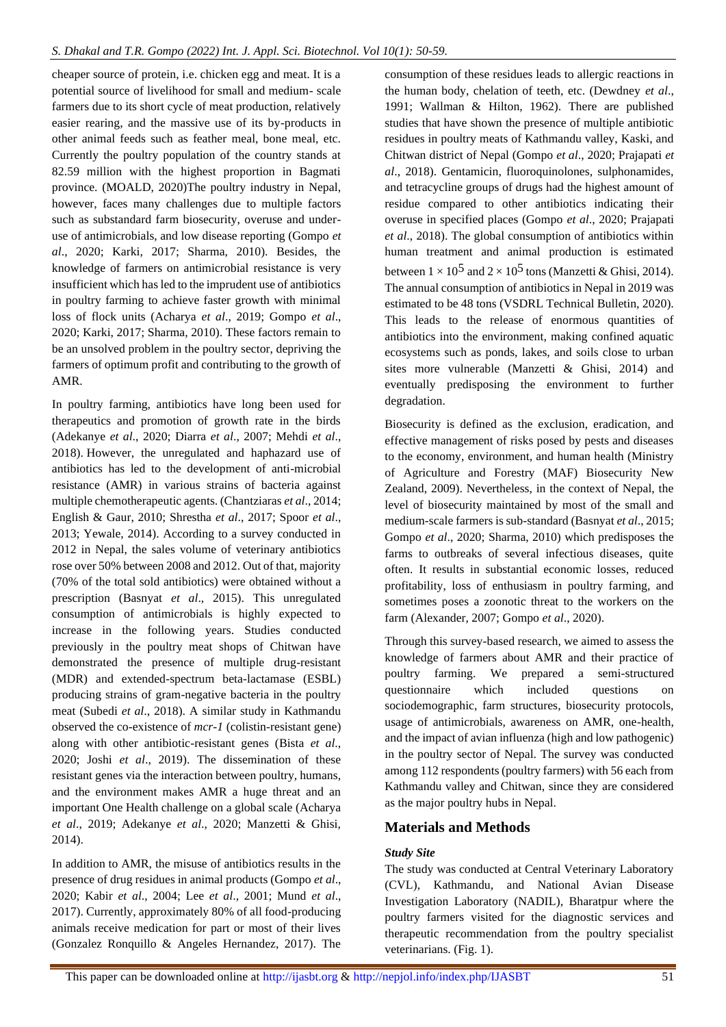cheaper source of protein, i.e. chicken egg and meat. It is a potential source of livelihood for small and medium- scale farmers due to its short cycle of meat production, relatively easier rearing, and the massive use of its by-products in other animal feeds such as feather meal, bone meal, etc. Currently the poultry population of the country stands at 82.59 million with the highest proportion in Bagmati province. (MOALD, 2020)The poultry industry in Nepal, however, faces many challenges due to multiple factors such as substandard farm biosecurity, overuse and underuse of antimicrobials, and low disease reporting (Gompo *et al*., 2020; Karki, 2017; Sharma, 2010). Besides, the knowledge of farmers on antimicrobial resistance is very insufficient which has led to the imprudent use of antibiotics in poultry farming to achieve faster growth with minimal loss of flock units (Acharya *et al*., 2019; Gompo *et al*., 2020; Karki, 2017; Sharma, 2010). These factors remain to be an unsolved problem in the poultry sector, depriving the farmers of optimum profit and contributing to the growth of AMR.

In poultry farming, antibiotics have long been used for therapeutics and promotion of growth rate in the birds (Adekanye *et al*., 2020; Diarra *et al*., 2007; Mehdi *et al*., 2018). However, the unregulated and haphazard use of antibiotics has led to the development of anti-microbial resistance (AMR) in various strains of bacteria against multiple chemotherapeutic agents. (Chantziaras *et al*., 2014; English & Gaur, 2010; Shrestha *et al*., 2017; Spoor *et al*., 2013; Yewale, 2014). According to a survey conducted in 2012 in Nepal, the sales volume of veterinary antibiotics rose over 50% between 2008 and 2012. Out of that, majority (70% of the total sold antibiotics) were obtained without a prescription (Basnyat *et al*., 2015). This unregulated consumption of antimicrobials is highly expected to increase in the following years. Studies conducted previously in the poultry meat shops of Chitwan have demonstrated the presence of multiple drug-resistant (MDR) and extended-spectrum beta-lactamase (ESBL) producing strains of gram-negative bacteria in the poultry meat (Subedi *et al*., 2018). A similar study in Kathmandu observed the co-existence of *mcr-1* (colistin-resistant gene) along with other antibiotic-resistant genes (Bista *et al*., 2020; Joshi *et al*., 2019). The dissemination of these resistant genes via the interaction between poultry, humans, and the environment makes AMR a huge threat and an important One Health challenge on a global scale (Acharya *et al*., 2019; Adekanye *et al*., 2020; Manzetti & Ghisi, 2014).

In addition to AMR, the misuse of antibiotics results in the presence of drug residues in animal products (Gompo *et al*., 2020; Kabir *et al*., 2004; Lee *et al*., 2001; Mund *et al*., 2017). Currently, approximately 80% of all food-producing animals receive medication for part or most of their lives (Gonzalez Ronquillo & Angeles Hernandez, 2017). The

consumption of these residues leads to allergic reactions in the human body, chelation of teeth, etc. (Dewdney *et al*., 1991; Wallman & Hilton, 1962). There are published studies that have shown the presence of multiple antibiotic residues in poultry meats of Kathmandu valley, Kaski, and Chitwan district of Nepal (Gompo *et al*., 2020; Prajapati *et al*., 2018). Gentamicin, fluoroquinolones, sulphonamides, and tetracycline groups of drugs had the highest amount of residue compared to other antibiotics indicating their overuse in specified places (Gompo *et al*., 2020; Prajapati *et al*., 2018). The global consumption of antibiotics within human treatment and animal production is estimated between  $1 \times 10^5$  and  $2 \times 10^5$  tons (Manzetti & Ghisi, 2014). The annual consumption of antibiotics in Nepal in 2019 was estimated to be 48 tons (VSDRL Technical Bulletin, 2020). This leads to the release of enormous quantities of antibiotics into the environment, making confined aquatic ecosystems such as ponds, lakes, and soils close to urban sites more vulnerable (Manzetti & Ghisi, 2014) and eventually predisposing the environment to further degradation.

Biosecurity is defined as the exclusion, eradication, and effective management of risks posed by pests and diseases to the economy, environment, and human health (Ministry of Agriculture and Forestry (MAF) Biosecurity New Zealand, 2009). Nevertheless, in the context of Nepal, the level of biosecurity maintained by most of the small and medium-scale farmers is sub-standard (Basnyat *et al*., 2015; Gompo *et al*., 2020; Sharma, 2010) which predisposes the farms to outbreaks of several infectious diseases, quite often. It results in substantial economic losses, reduced profitability, loss of enthusiasm in poultry farming, and sometimes poses a zoonotic threat to the workers on the farm (Alexander, 2007; Gompo *et al*., 2020).

Through this survey-based research, we aimed to assess the knowledge of farmers about AMR and their practice of poultry farming. We prepared a semi-structured questionnaire which included questions on sociodemographic, farm structures, biosecurity protocols, usage of antimicrobials, awareness on AMR, one-health, and the impact of avian influenza (high and low pathogenic) in the poultry sector of Nepal. The survey was conducted among 112 respondents (poultry farmers) with 56 each from Kathmandu valley and Chitwan, since they are considered as the major poultry hubs in Nepal.

# **Materials and Methods**

### *Study Site*

The study was conducted at Central Veterinary Laboratory (CVL), Kathmandu, and National Avian Disease Investigation Laboratory (NADIL), Bharatpur where the poultry farmers visited for the diagnostic services and therapeutic recommendation from the poultry specialist veterinarians. (Fig. 1).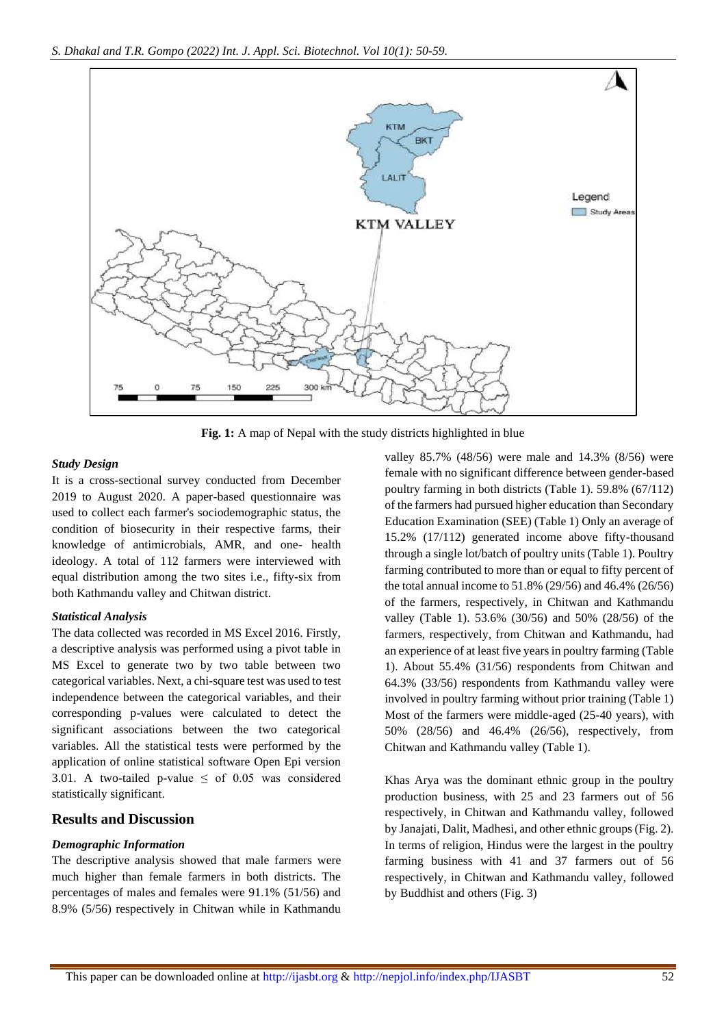

**Fig. 1:** A map of Nepal with the study districts highlighted in blue

#### *Study Design*

It is a cross-sectional survey conducted from December 2019 to August 2020. A paper-based questionnaire was used to collect each farmer's sociodemographic status, the condition of biosecurity in their respective farms, their knowledge of antimicrobials, AMR, and one- health ideology. A total of 112 farmers were interviewed with equal distribution among the two sites i.e., fifty-six from both Kathmandu valley and Chitwan district.

### *Statistical Analysis*

The data collected was recorded in MS Excel 2016. Firstly, a descriptive analysis was performed using a pivot table in MS Excel to generate two by two table between two categorical variables. Next, a chi-square test was used to test independence between the categorical variables, and their corresponding p-values were calculated to detect the significant associations between the two categorical variables. All the statistical tests were performed by the application of online statistical software Open Epi version 3.01. A two-tailed p-value  $\leq$  of 0.05 was considered statistically significant.

## **Results and Discussion**

#### *Demographic Information*

The descriptive analysis showed that male farmers were much higher than female farmers in both districts. The percentages of males and females were 91.1% (51/56) and 8.9% (5/56) respectively in Chitwan while in Kathmandu

valley 85.7% (48/56) were male and 14.3% (8/56) were female with no significant difference between gender-based poultry farming in both districts (Table 1). 59.8% (67/112) of the farmers had pursued higher education than Secondary Education Examination (SEE) (Table 1) Only an average of 15.2% (17/112) generated income above fifty-thousand through a single lot/batch of poultry units (Table 1). Poultry farming contributed to more than or equal to fifty percent of the total annual income to 51.8% (29/56) and 46.4% (26/56) of the farmers, respectively, in Chitwan and Kathmandu valley (Table 1). 53.6% (30/56) and 50% (28/56) of the farmers, respectively, from Chitwan and Kathmandu, had an experience of at least five years in poultry farming (Table 1). About 55.4% (31/56) respondents from Chitwan and 64.3% (33/56) respondents from Kathmandu valley were involved in poultry farming without prior training (Table 1) Most of the farmers were middle-aged (25-40 years), with 50% (28/56) and 46.4% (26/56), respectively, from Chitwan and Kathmandu valley (Table 1).

Khas Arya was the dominant ethnic group in the poultry production business, with 25 and 23 farmers out of 56 respectively, in Chitwan and Kathmandu valley, followed by Janajati, Dalit, Madhesi, and other ethnic groups (Fig. 2). In terms of religion, Hindus were the largest in the poultry farming business with 41 and 37 farmers out of 56 respectively, in Chitwan and Kathmandu valley, followed by Buddhist and others (Fig. 3)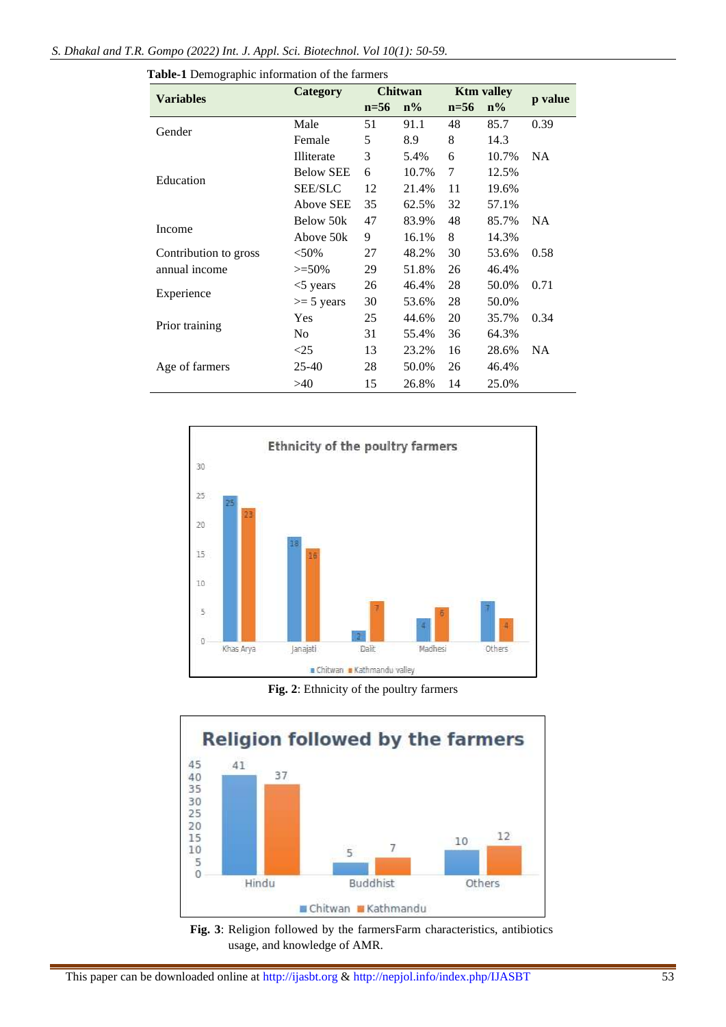| <b>Variables</b>      | Category         | <b>Chitwan</b> |       | <b>Ktm valley</b> |       |           |
|-----------------------|------------------|----------------|-------|-------------------|-------|-----------|
|                       |                  | $n=56$         | $n\%$ | $n=56$            | $n\%$ | p value   |
| Gender                | Male             | 51             | 91.1  | 48                | 85.7  | 0.39      |
|                       | Female           | 5              | 8.9   | 8                 | 14.3  |           |
|                       | Illiterate       | 3              | 5.4%  | 6                 | 10.7% | <b>NA</b> |
|                       | <b>Below SEE</b> | 6              | 10.7% | 7                 | 12.5% |           |
| Education             | <b>SEE/SLC</b>   | 12             | 21.4% | 11                | 19.6% |           |
|                       | <b>Above SEE</b> | 35             | 62.5% | 32                | 57.1% |           |
| Income                | Below 50k        | 47             | 83.9% | 48                | 85.7% | <b>NA</b> |
|                       | Above 50k        | 9              | 16.1% | 8                 | 14.3% |           |
| Contribution to gross | $<$ 50%          | 27             | 48.2% | 30                | 53.6% | 0.58      |
| annual income         | $>=50\%$         | 29             | 51.8% | 26                | 46.4% |           |
| Experience            | $<$ 5 years      | 26             | 46.4% | 28                | 50.0% | 0.71      |
|                       | $\geq 5$ years   | 30             | 53.6% | 28                | 50.0% |           |
| Prior training        | Yes              | 25             | 44.6% | 20                | 35.7% | 0.34      |
|                       | N <sub>0</sub>   | 31             | 55.4% | 36                | 64.3% |           |
|                       | $<$ 25           | 13             | 23.2% | 16                | 28.6% | <b>NA</b> |
| Age of farmers        | $25 - 40$        | 28             | 50.0% | 26                | 46.4% |           |
|                       | >40              | 15             | 26.8% | 14                | 25.0% |           |





**Fig. 2**: Ethnicity of the poultry farmers



**Fig. 3**: Religion followed by the farmersFarm characteristics, antibiotics usage, and knowledge of AMR.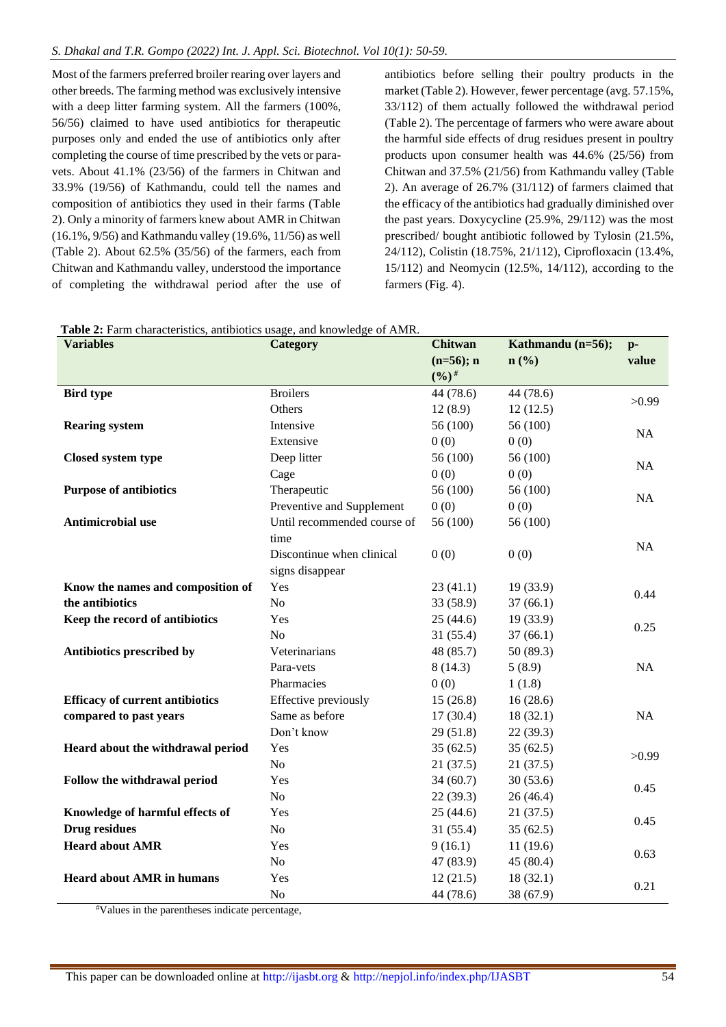Most of the farmers preferred broiler rearing over layers and other breeds. The farming method was exclusively intensive with a deep litter farming system. All the farmers (100%, 56/56) claimed to have used antibiotics for therapeutic purposes only and ended the use of antibiotics only after completing the course of time prescribed by the vets or paravets. About 41.1% (23/56) of the farmers in Chitwan and 33.9% (19/56) of Kathmandu, could tell the names and composition of antibiotics they used in their farms (Table 2). Only a minority of farmers knew about AMR in Chitwan (16.1%, 9/56) and Kathmandu valley (19.6%, 11/56) as well (Table 2). About 62.5% (35/56) of the farmers, each from Chitwan and Kathmandu valley, understood the importance of completing the withdrawal period after the use of antibiotics before selling their poultry products in the market (Table 2). However, fewer percentage (avg. 57.15%, 33/112) of them actually followed the withdrawal period (Table 2). The percentage of farmers who were aware about the harmful side effects of drug residues present in poultry products upon consumer health was 44.6% (25/56) from Chitwan and 37.5% (21/56) from Kathmandu valley (Table 2). An average of 26.7% (31/112) of farmers claimed that the efficacy of the antibiotics had gradually diminished over the past years. Doxycycline (25.9%, 29/112) was the most prescribed/ bought antibiotic followed by Tylosin (21.5%, 24/112), Colistin (18.75%, 21/112), Ciprofloxacin (13.4%, 15/112) and Neomycin (12.5%, 14/112), according to the farmers (Fig. 4).

| Table 2: Farm characteristics, antibiotics usage, and knowledge of AMR. |  |  |  |  |  |
|-------------------------------------------------------------------------|--|--|--|--|--|
|-------------------------------------------------------------------------|--|--|--|--|--|

| <b>Variables</b>                       | Category                    | <b>Chitwan</b> | Kathmandu (n=56); | $p-$      |
|----------------------------------------|-----------------------------|----------------|-------------------|-----------|
|                                        |                             | $(n=56); n$    | $n$ (%)           | value     |
|                                        |                             | $(%)^{\#}$     |                   |           |
| <b>Bird type</b>                       | <b>Broilers</b>             | 44 (78.6)      | 44 (78.6)         | >0.99     |
|                                        | Others                      | 12(8.9)        | 12(12.5)          |           |
| <b>Rearing system</b>                  | Intensive                   | 56 (100)       | 56 (100)          | NA        |
|                                        | Extensive                   | 0(0)           | 0(0)              |           |
| Closed system type                     | Deep litter                 | 56 (100)       | 56 (100)          | NA        |
|                                        | Cage                        | 0(0)           | 0(0)              |           |
| <b>Purpose of antibiotics</b>          | Therapeutic                 | 56 (100)       | 56 (100)          | NA        |
|                                        | Preventive and Supplement   | 0(0)           | 0(0)              |           |
| Antimicrobial use                      | Until recommended course of | 56 (100)       | 56 (100)          |           |
|                                        | time                        |                |                   | <b>NA</b> |
|                                        | Discontinue when clinical   | 0(0)           | 0(0)              |           |
|                                        | signs disappear             |                |                   |           |
| Know the names and composition of      | Yes                         | 23(41.1)       | 19(33.9)          | 0.44      |
| the antibiotics                        | No                          | 33 (58.9)      | 37(66.1)          |           |
| Keep the record of antibiotics         | Yes                         | 25(44.6)       | 19(33.9)          | 0.25      |
|                                        | N <sub>o</sub>              | 31(55.4)       | 37(66.1)          |           |
| Antibiotics prescribed by              | Veterinarians               | 48 (85.7)      | 50(89.3)          |           |
|                                        | Para-vets                   | 8(14.3)        | 5(8.9)            | NA        |
|                                        | Pharmacies                  | 0(0)           | 1(1.8)            |           |
| <b>Efficacy of current antibiotics</b> | Effective previously        | 15(26.8)       | 16(28.6)          |           |
| compared to past years                 | Same as before              | 17(30.4)       | 18(32.1)          | NA        |
|                                        | Don't know                  | 29(51.8)       | 22(39.3)          |           |
| Heard about the withdrawal period      | Yes                         | 35(62.5)       | 35(62.5)          | >0.99     |
|                                        | N <sub>o</sub>              | 21(37.5)       | 21(37.5)          |           |
| Follow the withdrawal period           | Yes                         | 34(60.7)       | 30(53.6)          | 0.45      |
|                                        | N <sub>o</sub>              | 22(39.3)       | 26(46.4)          |           |
| Knowledge of harmful effects of        | Yes                         | 25(44.6)       | 21(37.5)          | 0.45      |
| <b>Drug residues</b>                   | N <sub>o</sub>              | 31(55.4)       | 35(62.5)          |           |
| <b>Heard about AMR</b>                 | Yes                         | 9(16.1)        | 11(19.6)          | 0.63      |
|                                        | N <sub>o</sub>              | 47 (83.9)      | 45(80.4)          |           |
| <b>Heard about AMR in humans</b>       | Yes                         | 12(21.5)       | 18(32.1)          | 0.21      |
|                                        | N <sub>o</sub>              | 44 (78.6)      | 38 (67.9)         |           |

#Values in the parentheses indicate percentage,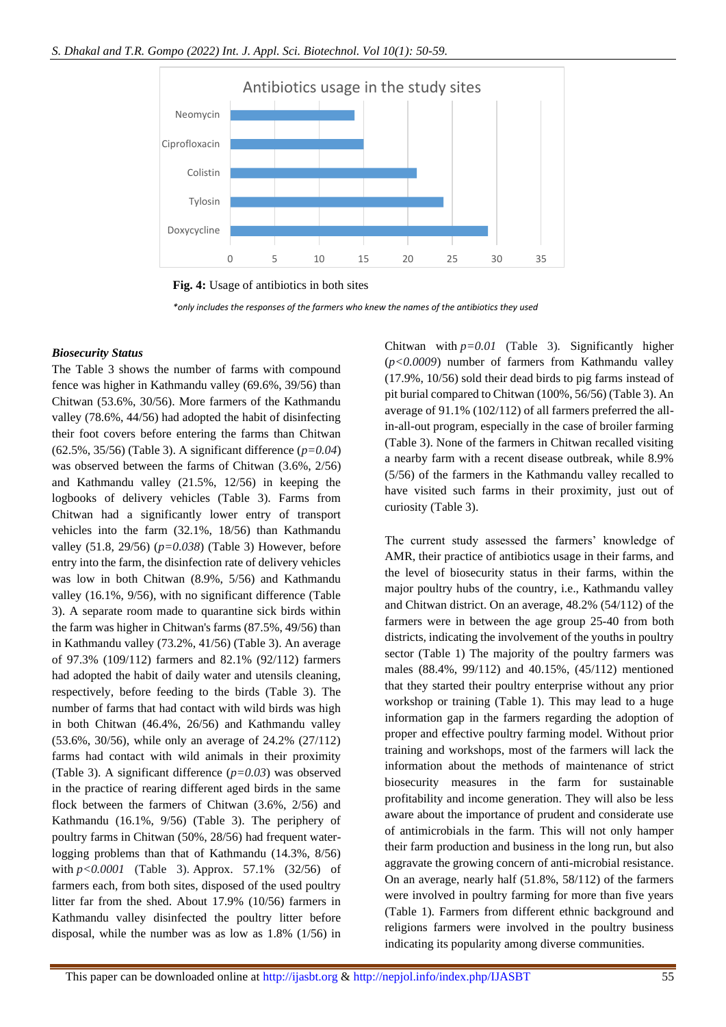

**Fig. 4:** Usage of antibiotics in both sites

*\*only includes the responses of the farmers who knew the names of the antibiotics they used*

#### *Biosecurity Status*

The Table 3 shows the number of farms with compound fence was higher in Kathmandu valley (69.6%, 39/56) than Chitwan (53.6%, 30/56). More farmers of the Kathmandu valley (78.6%, 44/56) had adopted the habit of disinfecting their foot covers before entering the farms than Chitwan (62.5%, 35/56) (Table 3). A significant difference (*p=0.04*) was observed between the farms of Chitwan (3.6%, 2/56) and Kathmandu valley (21.5%, 12/56) in keeping the logbooks of delivery vehicles (Table 3). Farms from Chitwan had a significantly lower entry of transport vehicles into the farm (32.1%, 18/56) than Kathmandu valley (51.8, 29/56) (*p=0.038*) (Table 3) However, before entry into the farm, the disinfection rate of delivery vehicles was low in both Chitwan (8.9%, 5/56) and Kathmandu valley (16.1%, 9/56), with no significant difference (Table 3). A separate room made to quarantine sick birds within the farm was higher in Chitwan's farms (87.5%, 49/56) than in Kathmandu valley (73.2%, 41/56) (Table 3). An average of 97.3% (109/112) farmers and 82.1% (92/112) farmers had adopted the habit of daily water and utensils cleaning, respectively, before feeding to the birds (Table 3). The number of farms that had contact with wild birds was high in both Chitwan (46.4%, 26/56) and Kathmandu valley (53.6%, 30/56), while only an average of 24.2% (27/112) farms had contact with wild animals in their proximity (Table 3). A significant difference (*p=0.03*) was observed in the practice of rearing different aged birds in the same flock between the farmers of Chitwan (3.6%, 2/56) and Kathmandu (16.1%, 9/56) (Table 3). The periphery of poultry farms in Chitwan (50%, 28/56) had frequent waterlogging problems than that of Kathmandu (14.3%, 8/56) with *p<0.0001* (Table 3)*.* Approx. 57.1% (32/56) of farmers each, from both sites, disposed of the used poultry litter far from the shed. About 17.9% (10/56) farmers in Kathmandu valley disinfected the poultry litter before disposal, while the number was as low as 1.8% (1/56) in

Chitwan with *p=0.01* (Table 3)*.* Significantly higher (*p<0.0009*) number of farmers from Kathmandu valley (17.9%, 10/56) sold their dead birds to pig farms instead of pit burial compared to Chitwan (100%, 56/56) (Table 3). An average of 91.1% (102/112) of all farmers preferred the allin-all-out program, especially in the case of broiler farming (Table 3). None of the farmers in Chitwan recalled visiting a nearby farm with a recent disease outbreak, while 8.9% (5/56) of the farmers in the Kathmandu valley recalled to have visited such farms in their proximity, just out of curiosity (Table 3).

The current study assessed the farmers' knowledge of AMR, their practice of antibiotics usage in their farms, and the level of biosecurity status in their farms, within the major poultry hubs of the country, i.e., Kathmandu valley and Chitwan district. On an average, 48.2% (54/112) of the farmers were in between the age group 25-40 from both districts, indicating the involvement of the youths in poultry sector (Table 1) The majority of the poultry farmers was males (88.4%, 99/112) and 40.15%, (45/112) mentioned that they started their poultry enterprise without any prior workshop or training (Table 1). This may lead to a huge information gap in the farmers regarding the adoption of proper and effective poultry farming model. Without prior training and workshops, most of the farmers will lack the information about the methods of maintenance of strict biosecurity measures in the farm for sustainable profitability and income generation. They will also be less aware about the importance of prudent and considerate use of antimicrobials in the farm. This will not only hamper their farm production and business in the long run, but also aggravate the growing concern of anti-microbial resistance. On an average, nearly half (51.8%, 58/112) of the farmers were involved in poultry farming for more than five years (Table 1). Farmers from different ethnic background and religions farmers were involved in the poultry business indicating its popularity among diverse communities.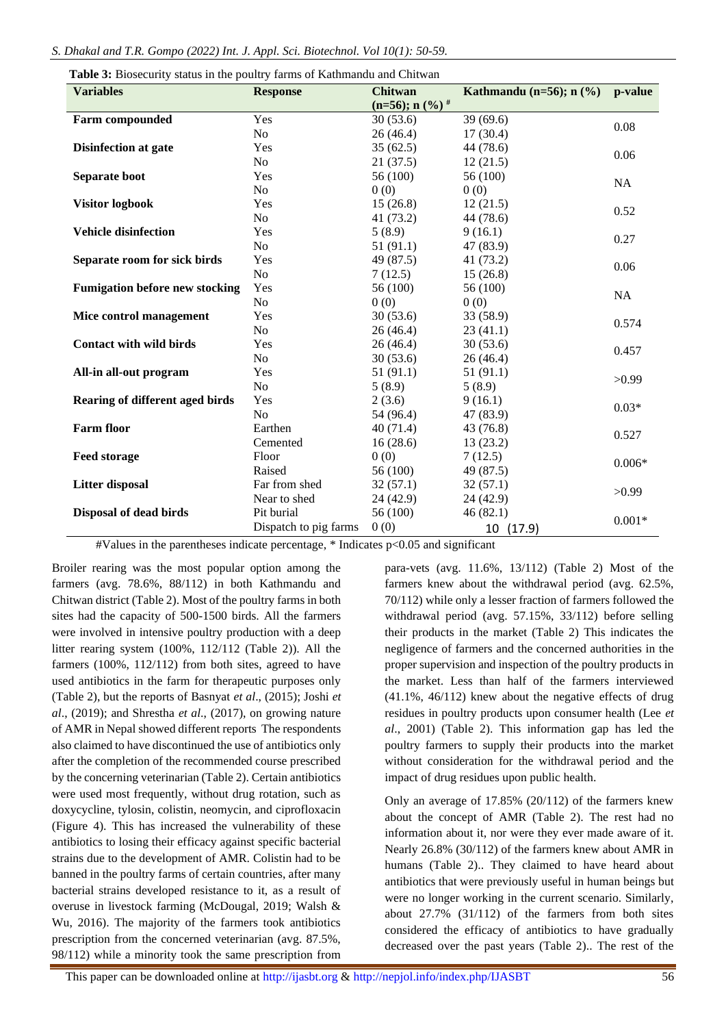| <b>Table 3:</b> Biosecurity status in the poultry farms of Kathmandu and Chitwan<br><b>Variables</b> | <b>Response</b>       | <b>Chitwan</b><br>Kathmandu (n=56); $n$ (%) |           | p-value   |  |
|------------------------------------------------------------------------------------------------------|-----------------------|---------------------------------------------|-----------|-----------|--|
|                                                                                                      |                       | $(n=56); n (%)$ #                           |           |           |  |
| <b>Farm compounded</b>                                                                               | Yes                   | 30(53.6)                                    | 39(69.6)  | 0.08      |  |
|                                                                                                      | No                    | 26(46.4)                                    | 17(30.4)  |           |  |
| <b>Disinfection at gate</b>                                                                          | Yes                   | 35(62.5)                                    | 44 (78.6) | 0.06      |  |
|                                                                                                      | No                    | 21(37.5)                                    | 12(21.5)  |           |  |
| Separate boot                                                                                        | Yes                   | 56 (100)                                    | 56 (100)  | <b>NA</b> |  |
|                                                                                                      | N <sub>o</sub>        | 0(0)                                        | 0(0)      |           |  |
| <b>Visitor logbook</b>                                                                               | Yes                   | 15(26.8)                                    | 12(21.5)  | 0.52      |  |
|                                                                                                      | N <sub>o</sub>        | 41 (73.2)                                   | 44 (78.6) |           |  |
| <b>Vehicle disinfection</b>                                                                          | Yes                   | 5(8.9)                                      | 9(16.1)   | 0.27      |  |
|                                                                                                      | N <sub>o</sub>        | 51(91.1)                                    | 47 (83.9) |           |  |
| Separate room for sick birds                                                                         | Yes                   | 49 (87.5)                                   | 41 (73.2) | 0.06      |  |
|                                                                                                      | N <sub>o</sub>        | 7(12.5)                                     | 15(26.8)  |           |  |
| <b>Fumigation before new stocking</b>                                                                | Yes                   | 56 (100)                                    | 56 (100)  | NA        |  |
|                                                                                                      | N <sub>o</sub>        | 0(0)                                        | 0(0)      |           |  |
| Mice control management                                                                              | Yes                   | 30(53.6)                                    | 33 (58.9) | 0.574     |  |
|                                                                                                      | No                    | 26(46.4)                                    | 23(41.1)  |           |  |
| <b>Contact with wild birds</b>                                                                       | Yes                   | 26(46.4)                                    | 30(53.6)  | 0.457     |  |
|                                                                                                      | No                    | 30(53.6)                                    | 26(46.4)  |           |  |
| All-in all-out program                                                                               | Yes                   | 51(91.1)                                    | 51(91.1)  | >0.99     |  |
|                                                                                                      | No                    | 5(8.9)                                      | 5(8.9)    |           |  |
| Rearing of different aged birds                                                                      | Yes                   | 2(3.6)                                      | 9(16.1)   | $0.03*$   |  |
|                                                                                                      | N <sub>o</sub>        | 54 (96.4)                                   | 47 (83.9) |           |  |
| <b>Farm floor</b>                                                                                    | Earthen               | 40(71.4)                                    | 43 (76.8) | 0.527     |  |
|                                                                                                      | Cemented              | 16(28.6)                                    | 13(23.2)  |           |  |
| <b>Feed storage</b>                                                                                  | Floor                 | 0(0)                                        | 7(12.5)   | $0.006*$  |  |
|                                                                                                      | Raised                | 56 (100)                                    | 49 (87.5) |           |  |
| <b>Litter disposal</b>                                                                               | Far from shed         | 32(57.1)                                    | 32(57.1)  | >0.99     |  |
|                                                                                                      | Near to shed          | 24 (42.9)                                   | 24 (42.9) |           |  |
| Disposal of dead birds                                                                               | Pit burial            | 56 (100)                                    | 46(82.1)  | $0.001*$  |  |
|                                                                                                      | Dispatch to pig farms | 0(0)                                        | 10 (17.9) |           |  |

**Table 3:** Biosecurity status in the poultry farms of Kathmandu and Chitwan

#Values in the parentheses indicate percentage, \* Indicates p<0.05 and significant

Broiler rearing was the most popular option among the farmers (avg. 78.6%, 88/112) in both Kathmandu and Chitwan district (Table 2). Most of the poultry farms in both sites had the capacity of 500-1500 birds. All the farmers were involved in intensive poultry production with a deep litter rearing system (100%, 112/112 (Table 2)). All the farmers (100%, 112/112) from both sites, agreed to have used antibiotics in the farm for therapeutic purposes only (Table 2), but the reports of Basnyat *et al*., (2015); Joshi *et al*., (2019); and Shrestha *et al*., (2017), on growing nature of AMR in Nepal showed different reports The respondents also claimed to have discontinued the use of antibiotics only after the completion of the recommended course prescribed by the concerning veterinarian (Table 2). Certain antibiotics were used most frequently, without drug rotation, such as doxycycline, tylosin, colistin, neomycin, and ciprofloxacin (Figure 4). This has increased the vulnerability of these antibiotics to losing their efficacy against specific bacterial strains due to the development of AMR. Colistin had to be banned in the poultry farms of certain countries, after many bacterial strains developed resistance to it, as a result of overuse in livestock farming (McDougal, 2019; Walsh & Wu, 2016). The majority of the farmers took antibiotics prescription from the concerned veterinarian (avg. 87.5%, 98/112) while a minority took the same prescription from

para-vets (avg. 11.6%, 13/112) (Table 2) Most of the farmers knew about the withdrawal period (avg. 62.5%, 70/112) while only a lesser fraction of farmers followed the withdrawal period (avg. 57.15%, 33/112) before selling their products in the market (Table 2) This indicates the negligence of farmers and the concerned authorities in the proper supervision and inspection of the poultry products in the market. Less than half of the farmers interviewed (41.1%, 46/112) knew about the negative effects of drug residues in poultry products upon consumer health (Lee *et al*., 2001) (Table 2). This information gap has led the poultry farmers to supply their products into the market without consideration for the withdrawal period and the impact of drug residues upon public health.

Only an average of 17.85% (20/112) of the farmers knew about the concept of AMR (Table 2). The rest had no information about it, nor were they ever made aware of it. Nearly 26.8% (30/112) of the farmers knew about AMR in humans (Table 2).. They claimed to have heard about antibiotics that were previously useful in human beings but were no longer working in the current scenario. Similarly, about 27.7% (31/112) of the farmers from both sites considered the efficacy of antibiotics to have gradually decreased over the past years (Table 2).. The rest of the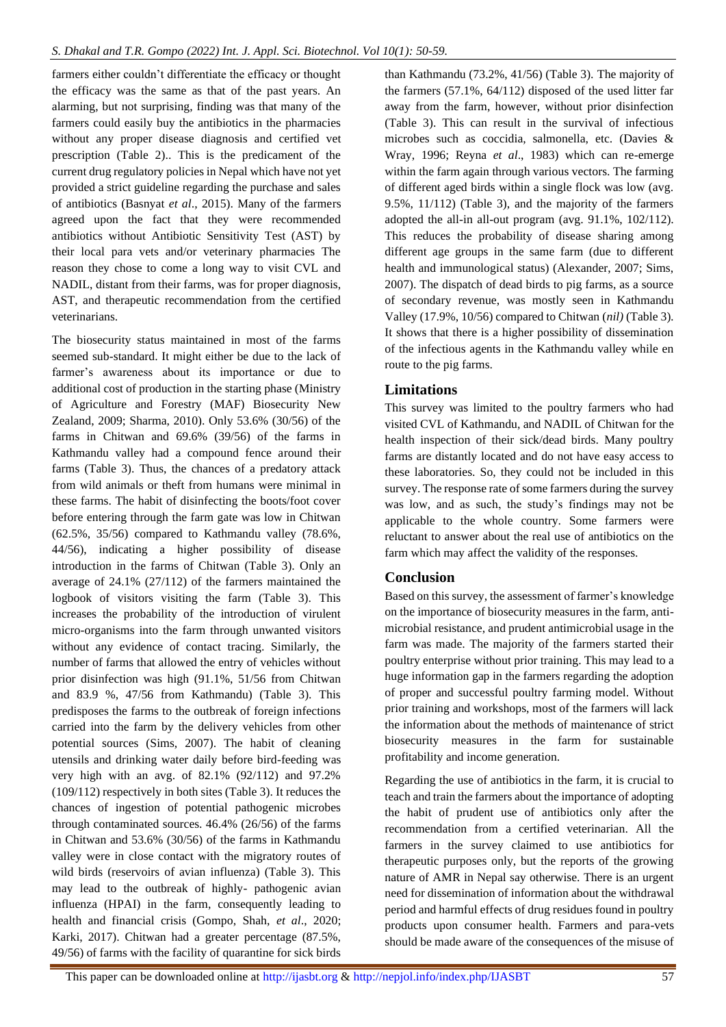farmers either couldn't differentiate the efficacy or thought the efficacy was the same as that of the past years. An alarming, but not surprising, finding was that many of the farmers could easily buy the antibiotics in the pharmacies without any proper disease diagnosis and certified vet prescription (Table 2).. This is the predicament of the current drug regulatory policies in Nepal which have not yet provided a strict guideline regarding the purchase and sales of antibiotics (Basnyat *et al*., 2015). Many of the farmers agreed upon the fact that they were recommended antibiotics without Antibiotic Sensitivity Test (AST) by their local para vets and/or veterinary pharmacies The reason they chose to come a long way to visit CVL and NADIL, distant from their farms, was for proper diagnosis, AST, and therapeutic recommendation from the certified veterinarians.

The biosecurity status maintained in most of the farms seemed sub-standard. It might either be due to the lack of farmer's awareness about its importance or due to additional cost of production in the starting phase (Ministry of Agriculture and Forestry (MAF) Biosecurity New Zealand, 2009; Sharma, 2010). Only 53.6% (30/56) of the farms in Chitwan and 69.6% (39/56) of the farms in Kathmandu valley had a compound fence around their farms (Table 3). Thus, the chances of a predatory attack from wild animals or theft from humans were minimal in these farms. The habit of disinfecting the boots/foot cover before entering through the farm gate was low in Chitwan (62.5%, 35/56) compared to Kathmandu valley (78.6%, 44/56), indicating a higher possibility of disease introduction in the farms of Chitwan (Table 3). Only an average of 24.1% (27/112) of the farmers maintained the logbook of visitors visiting the farm (Table 3). This increases the probability of the introduction of virulent micro-organisms into the farm through unwanted visitors without any evidence of contact tracing. Similarly, the number of farms that allowed the entry of vehicles without prior disinfection was high (91.1%, 51/56 from Chitwan and 83.9 %, 47/56 from Kathmandu) (Table 3). This predisposes the farms to the outbreak of foreign infections carried into the farm by the delivery vehicles from other potential sources (Sims, 2007). The habit of cleaning utensils and drinking water daily before bird-feeding was very high with an avg. of 82.1% (92/112) and 97.2% (109/112) respectively in both sites (Table 3). It reduces the chances of ingestion of potential pathogenic microbes through contaminated sources. 46.4% (26/56) of the farms in Chitwan and 53.6% (30/56) of the farms in Kathmandu valley were in close contact with the migratory routes of wild birds (reservoirs of avian influenza) (Table 3). This may lead to the outbreak of highly- pathogenic avian influenza (HPAI) in the farm, consequently leading to health and financial crisis (Gompo, Shah, *et al*., 2020; Karki, 2017). Chitwan had a greater percentage (87.5%, 49/56) of farms with the facility of quarantine for sick birds

than Kathmandu (73.2%, 41/56) (Table 3). The majority of the farmers (57.1%, 64/112) disposed of the used litter far away from the farm, however, without prior disinfection (Table 3). This can result in the survival of infectious microbes such as coccidia, salmonella, etc. (Davies & Wray, 1996; Reyna *et al*., 1983) which can re-emerge within the farm again through various vectors. The farming of different aged birds within a single flock was low (avg. 9.5%, 11/112) (Table 3), and the majority of the farmers adopted the all-in all-out program (avg. 91.1%, 102/112). This reduces the probability of disease sharing among different age groups in the same farm (due to different health and immunological status) (Alexander, 2007; Sims, 2007). The dispatch of dead birds to pig farms, as a source of secondary revenue, was mostly seen in Kathmandu Valley (17.9%, 10/56) compared to Chitwan (*nil)* (Table 3)*.* It shows that there is a higher possibility of dissemination of the infectious agents in the Kathmandu valley while en route to the pig farms.

# **Limitations**

This survey was limited to the poultry farmers who had visited CVL of Kathmandu, and NADIL of Chitwan for the health inspection of their sick/dead birds. Many poultry farms are distantly located and do not have easy access to these laboratories. So, they could not be included in this survey. The response rate of some farmers during the survey was low, and as such, the study's findings may not be applicable to the whole country. Some farmers were reluctant to answer about the real use of antibiotics on the farm which may affect the validity of the responses.

# **Conclusion**

Based on this survey, the assessment of farmer's knowledge on the importance of biosecurity measures in the farm, antimicrobial resistance, and prudent antimicrobial usage in the farm was made. The majority of the farmers started their poultry enterprise without prior training. This may lead to a huge information gap in the farmers regarding the adoption of proper and successful poultry farming model. Without prior training and workshops, most of the farmers will lack the information about the methods of maintenance of strict biosecurity measures in the farm for sustainable profitability and income generation.

Regarding the use of antibiotics in the farm, it is crucial to teach and train the farmers about the importance of adopting the habit of prudent use of antibiotics only after the recommendation from a certified veterinarian. All the farmers in the survey claimed to use antibiotics for therapeutic purposes only, but the reports of the growing nature of AMR in Nepal say otherwise. There is an urgent need for dissemination of information about the withdrawal period and harmful effects of drug residues found in poultry products upon consumer health. Farmers and para-vets should be made aware of the consequences of the misuse of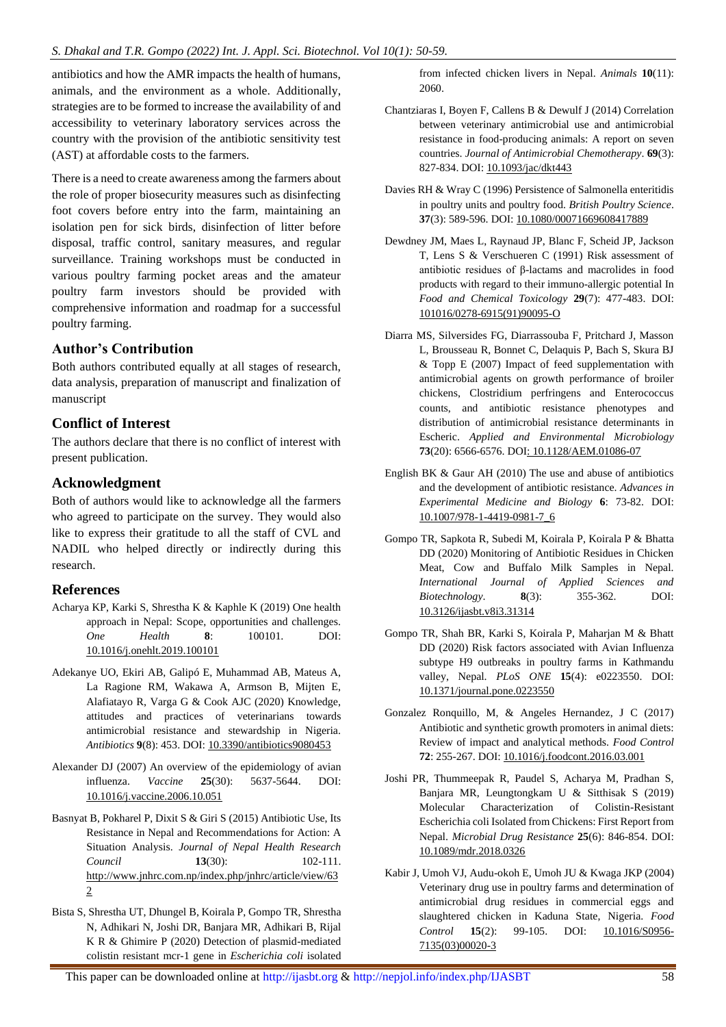antibiotics and how the AMR impacts the health of humans, animals, and the environment as a whole. Additionally, strategies are to be formed to increase the availability of and accessibility to veterinary laboratory services across the country with the provision of the antibiotic sensitivity test (AST) at affordable costs to the farmers.

There is a need to create awareness among the farmers about the role of proper biosecurity measures such as disinfecting foot covers before entry into the farm, maintaining an isolation pen for sick birds, disinfection of litter before disposal, traffic control, sanitary measures, and regular surveillance. Training workshops must be conducted in various poultry farming pocket areas and the amateur poultry farm investors should be provided with comprehensive information and roadmap for a successful poultry farming.

# **Author's Contribution**

Both authors contributed equally at all stages of research, data analysis, preparation of manuscript and finalization of manuscript

## **Conflict of Interest**

The authors declare that there is no conflict of interest with present publication.

## **Acknowledgment**

Both of authors would like to acknowledge all the farmers who agreed to participate on the survey. They would also like to express their gratitude to all the staff of CVL and NADIL who helped directly or indirectly during this research.

### **References**

- Acharya KP, Karki S, Shrestha K & Kaphle K (2019) One health approach in Nepal: Scope, opportunities and challenges. *One Health* **8**: 100101. DOI: [10.1016/j.onehlt.2019.100101](https://doi.org/10.1016/j.onehlt.2019.100101)
- Adekanye UO, Ekiri AB, Galipó E, Muhammad AB, Mateus A, La Ragione RM, Wakawa A, Armson B, Mijten E, Alafiatayo R, Varga G & Cook AJC (2020) Knowledge, attitudes and practices of veterinarians towards antimicrobial resistance and stewardship in Nigeria. *Antibiotics* **9**(8): 453. DOI[: 10.3390/antibiotics9080453](https://doi.org/10.3390/antibiotics9080453)
- Alexander DJ (2007) An overview of the epidemiology of avian influenza. *Vaccine* **25**(30): 5637-5644. DOI: [10.1016/j.vaccine.2006.10.051](https://doi.org/10.1016/j.vaccine.2006.10.051)
- Basnyat B, Pokharel P, Dixit S & Giri S (2015) Antibiotic Use, Its Resistance in Nepal and Recommendations for Action: A Situation Analysis. *Journal of Nepal Health Research Council* **13**(30): 102-111. http://www.jnhrc.com.np/index.php/jnhrc/article/view/63 2
- Bista S, Shrestha UT, Dhungel B, Koirala P, Gompo TR, Shrestha N, Adhikari N, Joshi DR, Banjara MR, Adhikari B, Rijal K R & Ghimire P (2020) Detection of plasmid-mediated colistin resistant mcr-1 gene in *Escherichia coli* isolated

from infected chicken livers in Nepal. *Animals* **10**(11): 2060.

- Chantziaras I, Boyen F, Callens B & Dewulf J (2014) Correlation between veterinary antimicrobial use and antimicrobial resistance in food-producing animals: A report on seven countries. *Journal of Antimicrobial Chemotherapy*. **69**(3): 827-834. DOI: [10.1093/jac/dkt443](https://doi.org/10.1093/jac/dkt443)
- Davies RH & Wray C (1996) Persistence of Salmonella enteritidis in poultry units and poultry food. *British Poultry Science*. **37**(3): 589-596. DOI[: 10.1080/00071669608417889](https://doi.org/10.1080/00071669608417889)
- Dewdney JM, Maes L, Raynaud JP, Blanc F, Scheid JP, Jackson T, Lens S & Verschueren C (1991) Risk assessment of antibiotic residues of β-lactams and macrolides in food products with regard to their immuno-allergic potential In *Food and Chemical Toxicology* **29**(7): 477-483. DOI: [101016/0278-6915\(91\)90095-O](https://doi.org/101016/0278-6915(91)90095-O)
- Diarra MS, Silversides FG, Diarrassouba F, Pritchard J, Masson L, Brousseau R, Bonnet C, Delaquis P, Bach S, Skura BJ & Topp E (2007) Impact of feed supplementation with antimicrobial agents on growth performance of broiler chickens, Clostridium perfringens and Enterococcus counts, and antibiotic resistance phenotypes and distribution of antimicrobial resistance determinants in Escheric. *Applied and Environmental Microbiology* **73**(20): 6566-6576. DOI: [10.1128/AEM.01086-07](https://doi.org/10.1128/AEM.01086-07)
- English BK & Gaur AH (2010) The use and abuse of antibiotics and the development of antibiotic resistance. *Advances in Experimental Medicine and Biology* **6**: 73-82. DOI: [10.1007/978-1-4419-0981-7\\_6](https://doi.org/10.1007/978-1-4419-0981-7_6)
- Gompo TR, Sapkota R, Subedi M, Koirala P, Koirala P & Bhatta DD (2020) Monitoring of Antibiotic Residues in Chicken Meat, Cow and Buffalo Milk Samples in Nepal. *International Journal of Applied Sciences and Biotechnology*. **8**(3): 355-362. DOI: [10.3126/ijasbt.v8i3.31314](https://doi.org/10.3126/ijasbt.v8i3.31314)
- Gompo TR, Shah BR, Karki S, Koirala P, Maharjan M & Bhatt DD (2020) Risk factors associated with Avian Influenza subtype H9 outbreaks in poultry farms in Kathmandu valley, Nepal. *PLoS ONE* **15**(4): e0223550. DOI: [10.1371/journal.pone.0223550](https://doi.org/10.1371/journal.pone.0223550)
- Gonzalez Ronquillo, M, & Angeles Hernandez, J C (2017) Antibiotic and synthetic growth promoters in animal diets: Review of impact and analytical methods. *Food Control* **72**: 255-267. DOI: [10.1016/j.foodcont.2016.03.001](https://doi.org/10.1016/j.foodcont.2016.03.001)
- Joshi PR, Thummeepak R, Paudel S, Acharya M, Pradhan S, Banjara MR, Leungtongkam U & Sitthisak S (2019) Molecular Characterization of Colistin-Resistant Escherichia coli Isolated from Chickens: First Report from Nepal. *Microbial Drug Resistance* **25**(6): 846-854. DOI: [10.1089/mdr.2018.0326](https://doi.org/10.1089/mdr.2018.0326)
- Kabir J, Umoh VJ, Audu-okoh E, Umoh JU & Kwaga JKP (2004) Veterinary drug use in poultry farms and determination of antimicrobial drug residues in commercial eggs and slaughtered chicken in Kaduna State, Nigeria. *Food Control* **15**(2): 99-105. DOI: [10.1016/S0956-](https://doi.org/10.1016/S0956-7135(03)00020-3) [7135\(03\)00020-3](https://doi.org/10.1016/S0956-7135(03)00020-3)